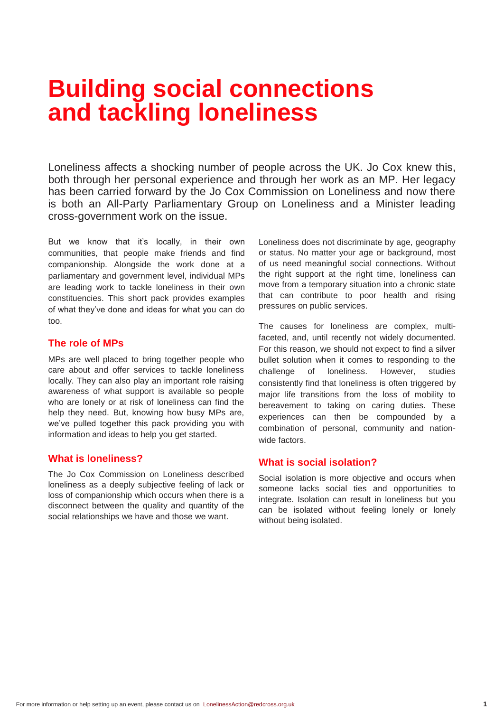# **Building social connections and tackling loneliness**

Loneliness affects a shocking number of people across the UK. Jo Cox knew this, both through her personal experience and through her work as an MP. Her legacy has been carried forward by the Jo Cox Commission on Loneliness and now there is both an All-Party Parliamentary Group on Loneliness and a Minister leading cross-government work on the issue.

But we know that it's locally, in their own communities, that people make friends and find companionship. Alongside the work done at a parliamentary and government level, individual MPs are leading work to tackle loneliness in their own constituencies. This short pack provides examples of what they've done and ideas for what you can do too.

### **The role of MPs**

MPs are well placed to bring together people who care about and offer services to tackle loneliness locally. They can also play an important role raising awareness of what support is available so people who are lonely or at risk of loneliness can find the help they need. But, knowing how busy MPs are, we've pulled together this pack providing you with information and ideas to help you get started.

# **What is loneliness?**

The Jo Cox Commission on Loneliness described loneliness as a deeply subjective feeling of lack or loss of companionship which occurs when there is a disconnect between the quality and quantity of the social relationships we have and those we want.

Loneliness does not discriminate by age, geography or status. No matter your age or background, most of us need meaningful social connections. Without the right support at the right time, loneliness can move from a temporary situation into a chronic state that can contribute to poor health and rising pressures on public services.

The causes for loneliness are complex, multifaceted, and, until recently not widely documented. For this reason, we should not expect to find a silver bullet solution when it comes to responding to the challenge of loneliness. However, studies consistently find that loneliness is often triggered by major life transitions from the loss of mobility to bereavement to taking on caring duties. These experiences can then be compounded by a combination of personal, community and nationwide factors.

# **What is social isolation?**

Social isolation is more objective and occurs when someone lacks social ties and opportunities to integrate. Isolation can result in loneliness but you can be isolated without feeling lonely or lonely without being isolated.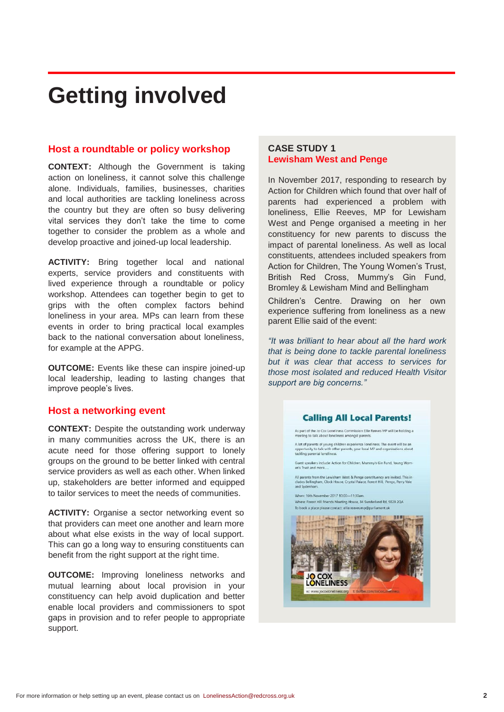# **Getting involved**

#### **Host a roundtable or policy workshop**

**CONTEXT:** Although the Government is taking action on loneliness, it cannot solve this challenge alone. Individuals, families, businesses, charities and local authorities are tackling loneliness across the country but they are often so busy delivering vital services they don't take the time to come together to consider the problem as a whole and develop proactive and joined-up local leadership.

**ACTIVITY:** Bring together local and national experts, service providers and constituents with lived experience through a roundtable or policy workshop. Attendees can together begin to get to grips with the often complex factors behind loneliness in your area. MPs can learn from these events in order to bring practical local examples back to the national conversation about loneliness, for example at the APPG.

**OUTCOME:** Events like these can inspire joined-up local leadership, leading to lasting changes that improve people's lives.

### **Host a networking event**

**CONTEXT:** Despite the outstanding work underway in many communities across the UK, there is an acute need for those offering support to lonely groups on the ground to be better linked with central service providers as well as each other. When linked up, stakeholders are better informed and equipped to tailor services to meet the needs of communities.

**ACTIVITY:** Organise a sector networking event so that providers can meet one another and learn more about what else exists in the way of local support. This can go a long way to ensuring constituents can benefit from the right support at the right time.

**OUTCOME:** Improving loneliness networks and mutual learning about local provision in your constituency can help avoid duplication and better enable local providers and commissioners to spot gaps in provision and to refer people to appropriate support.

### **CASE STUDY 1 Lewisham West and Penge**

In November 2017, responding to research by Action for Children which found that over half of parents had experienced a problem with loneliness, Ellie Reeves, MP for Lewisham West and Penge organised a meeting in her constituency for new parents to discuss the impact of parental loneliness. As well as local constituents, attendees included speakers from Action for Children, The Young Women's Trust, British Red Cross, Mummy's Gin Fund, Bromley & Lewisham Mind and Bellingham

Children's Centre. Drawing on her own experience suffering from loneliness as a new parent Ellie said of the event:

*"It was brilliant to hear about all the hard work that is being done to tackle parental loneliness but it was clear that access to services for those most isolated and reduced Health Visitor support are big concerns."*

### **Calling All Local Parents!**

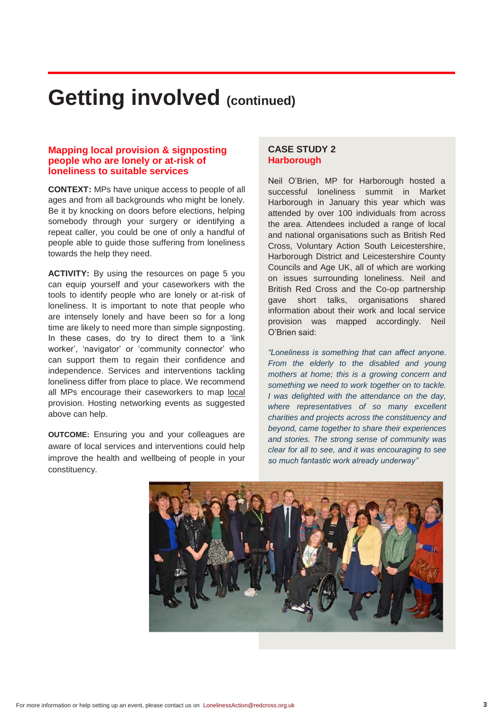# **Getting involved (continued)**

#### **Mapping local provision & signposting people who are lonely or at-risk of loneliness to suitable services**

**CONTEXT:** MPs have unique access to people of all ages and from all backgrounds who might be lonely. Be it by knocking on doors before elections, helping somebody through your surgery or identifying a repeat caller, you could be one of only a handful of people able to guide those suffering from loneliness towards the help they need.

**ACTIVITY:** By using the resources on page 5 you can equip yourself and your caseworkers with the tools to identify people who are lonely or at-risk of loneliness. It is important to note that people who are intensely lonely and have been so for a long time are likely to need more than simple signposting. In these cases, do try to direct them to a 'link worker', 'navigator' or 'community connector' who can support them to regain their confidence and independence. Services and interventions tackling loneliness differ from place to place. We recommend all MPs encourage their caseworkers to map local provision. Hosting networking events as suggested above can help.

**OUTCOME:** Ensuring you and your colleagues are aware of local services and interventions could help improve the health and wellbeing of people in your constituency.

# **CASE STUDY 2 Harborough**

Neil O'Brien, MP for Harborough hosted a successful loneliness summit in Market Harborough in January this year which was attended by over 100 individuals from across the area. Attendees included a range of local and national organisations such as British Red Cross, Voluntary Action South Leicestershire, Harborough District and Leicestershire County Councils and Age UK, all of which are working on issues surrounding loneliness. Neil and British Red Cross and the Co-op partnership gave short talks, organisations shared information about their work and local service provision was mapped accordingly. Neil O'Brien said:

*"Loneliness is something that can affect anyone. From the elderly to the disabled and young mothers at home; this is a growing concern and something we need to work together on to tackle. I was delighted with the attendance on the day, where representatives of so many excellent charities and projects across the constituency and beyond, came together to share their experiences and stories. The strong sense of community was clear for all to see, and it was encouraging to see so much fantastic work already underway"*

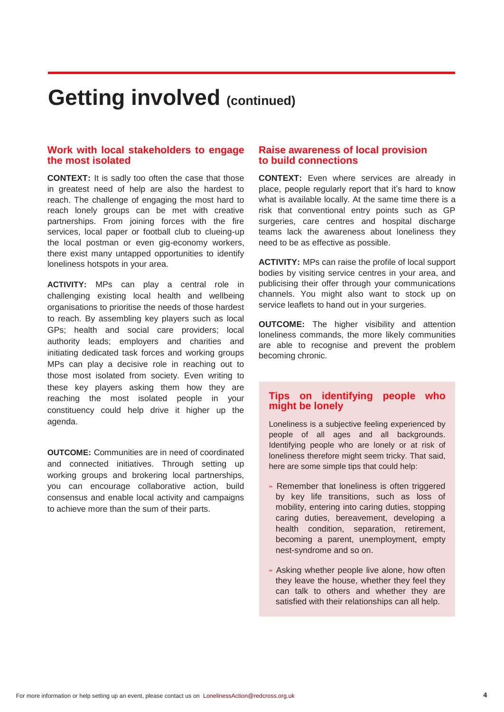# **Getting involved (continued)**

#### **Work with local stakeholders to engage the most isolated**

**CONTEXT:** It is sadly too often the case that those in greatest need of help are also the hardest to reach. The challenge of engaging the most hard to reach lonely groups can be met with creative partnerships. From joining forces with the fire services, local paper or football club to clueing-up the local postman or even gig-economy workers, there exist many untapped opportunities to identify loneliness hotspots in your area.

**ACTIVITY:** MPs can play a central role in challenging existing local health and wellbeing organisations to prioritise the needs of those hardest to reach. By assembling key players such as local GPs; health and social care providers; local authority leads; employers and charities and initiating dedicated task forces and working groups MPs can play a decisive role in reaching out to those most isolated from society. Even writing to these key players asking them how they are reaching the most isolated people in your constituency could help drive it higher up the agenda.

**OUTCOME:** Communities are in need of coordinated and connected initiatives. Through setting up working groups and brokering local partnerships, you can encourage collaborative action, build consensus and enable local activity and campaigns to achieve more than the sum of their parts.

### **Raise awareness of local provision to build connections**

**CONTEXT:** Even where services are already in place, people regularly report that it's hard to know what is available locally. At the same time there is a risk that conventional entry points such as GP surgeries, care centres and hospital discharge teams lack the awareness about loneliness they need to be as effective as possible.

**ACTIVITY:** MPs can raise the profile of local support bodies by visiting service centres in your area, and publicising their offer through your communications channels. You might also want to stock up on service leaflets to hand out in your surgeries.

**OUTCOME:** The higher visibility and attention loneliness commands, the more likely communities are able to recognise and prevent the problem becoming chronic.

### **Tips on identifying people who might be lonely**

Loneliness is a subjective feeling experienced by people of all ages and all backgrounds. Identifying people who are lonely or at risk of loneliness therefore might seem tricky. That said, here are some simple tips that could help:

- » Remember that loneliness is often triggered by key life transitions, such as loss of mobility, entering into caring duties, stopping caring duties, bereavement, developing a health condition, separation, retirement, becoming a parent, unemployment, empty nest-syndrome and so on.
- » Asking whether people live alone, how often they leave the house, whether they feel they can talk to others and whether they are satisfied with their relationships can all help.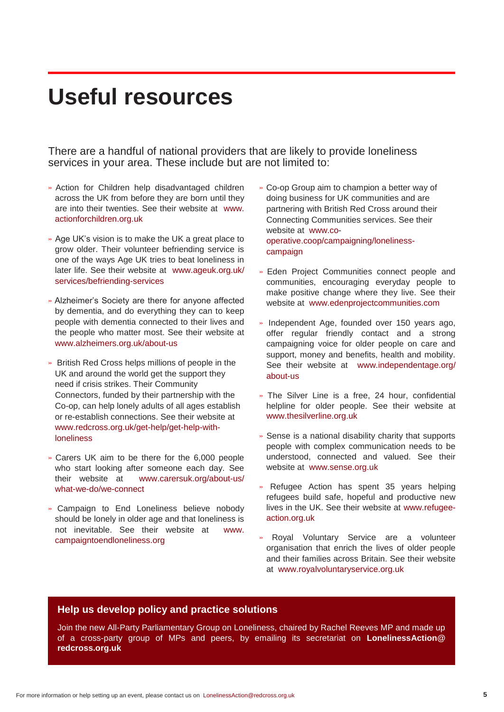# **Useful resources**

There are a handful of national providers that are likely to provide loneliness services in your area. These include but are not limited to:

- » Action for Children help disadvantaged children across the UK from before they are born until they are into their twenties. See their website at [www.](http://www/) actionforchildren.org.uk
- » Age UK's vision is to make the UK a great place to grow older. Their volunteer befriending service is one of the ways Age UK tries to beat loneliness in later life. See their website at [www.ageuk.org.uk/](http://www.ageuk.org.uk/) services/befriending-services
- » Alzheimer's Society are there for anyone affected by dementia, and do everything they can to keep people with dementia connected to their lives and the people who matter most. See their website at [www.alzheimers.org.uk/about-us](http://www.alzheimers.org.uk/about-us)
- » British Red Cross helps millions of people in the UK and around the world get the support they need if crisis strikes. Their Community Connectors, funded by their partnership with the Co-op, can help lonely adults of all ages establish or re-establish connections. See their website at [www.redcross.org.uk/get-help/get-help-with](http://www.redcross.org.uk/get-help/get-help-with-)loneliness
- » Carers UK aim to be there for the 6,000 people who start looking after someone each day. See their website at [www.carersuk.org/about-us/](http://www.carersuk.org/about-us/) what-we-do/we-connect
- » Campaign to End Loneliness believe nobody should be lonely in older age and that loneliness is not inevitable. See their website at [www.](http://www/) campaigntoendloneliness.org
- » Co-op Group aim to champion a better way of doing business for UK communities and are partnering with British Red Cross around their Connecting Communities services. See their website at [www.co](http://www./)operative.coop/campaigning/lonelinesscampaign
- » Eden Project Communities connect people and communities, encouraging everyday people to make positive change where they live. See their website at [www.edenprojectcommunities.com](http://www.edenprojectcommunities.com/)
- » Independent Age, founded over 150 years ago, offer regular friendly contact and a strong campaigning voice for older people on care and support, money and benefits, health and mobility. See their website at [www.independentage.org/](http://www.independentage.org/) about-us
- » The Silver Line is a free, 24 hour, confidential helpline for older people. See their website at [www.thesilverline.org.uk](http://www.thesilverline.org.uk/)
- » Sense is a national disability charity that supports people with complex communication needs to be understood, connected and valued. See their website at [www.sense.org.uk](http://www.sense.org.uk/)
- » Refugee Action has spent 35 years helping refugees build safe, hopeful and productive new lives in the UK. See their website at www.refugeeaction.org.uk
- » Royal Voluntary Service are a volunteer organisation that enrich the lives of older people and their families across Britain. See their website at [www.royalvoluntaryservice.org.uk](http://www.royalvoluntaryservice.org.uk/)

### **Help us develop policy and practice solutions**

Join the new All-Party Parliamentary Group on Loneliness, chaired by Rachel Reeves MP and made up of a cross-party group of MPs and peers, by emailing its secretariat on **LonelinessAction@ redcross.org.uk**